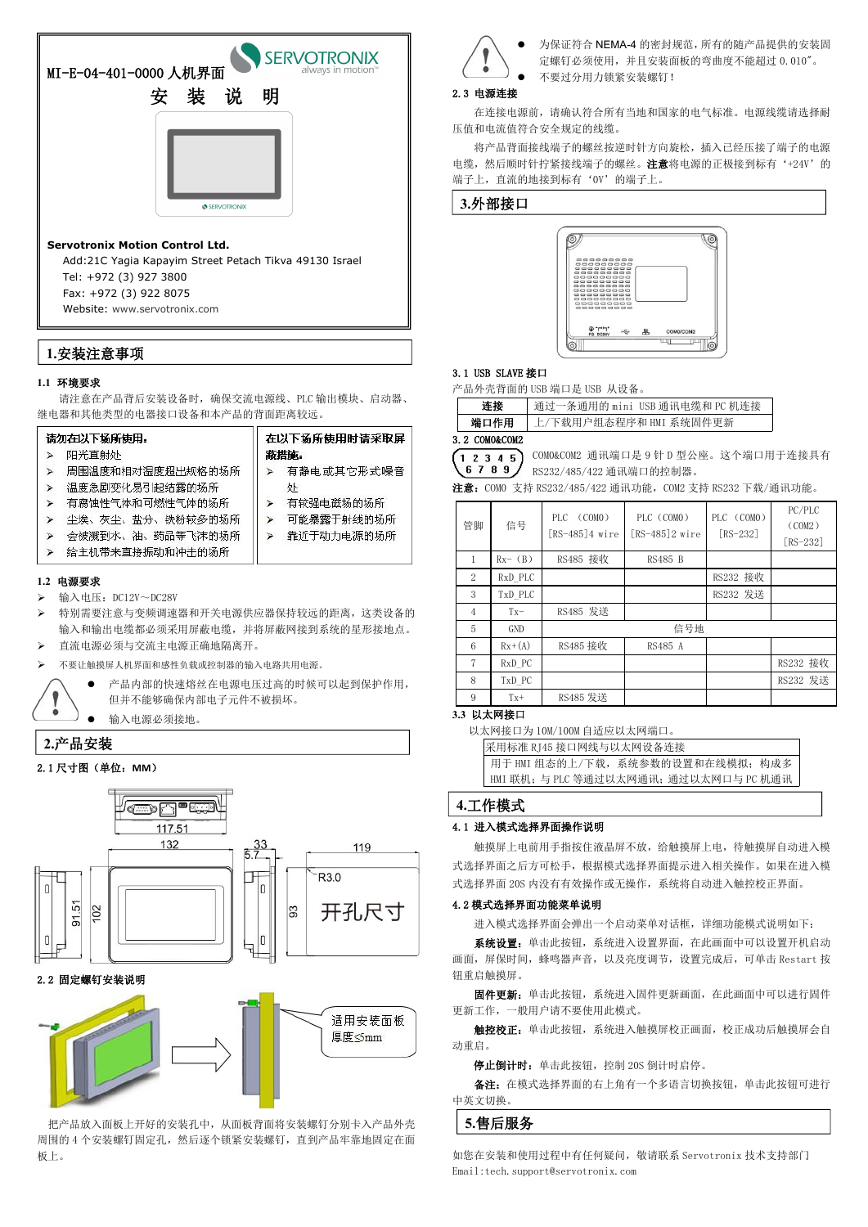## **1.1** 环境要求

请注意在产品背后安装设备时,确保交流电源线、PLC 输出模块、启动器、 继电器和其他类型的电器接口设备和本产品的背面距离较远。

|   | 请勿在以下场所使用:         |    | 在以下场所使用时请采取屏 |
|---|--------------------|----|--------------|
|   | 阳光直射处              |    | 蔽措施。         |
|   | 周围温度和相对湿度超出规格的场所   |    | 有静电或其它形式噪音   |
|   | 温度急剧变化易引起结露的场所     |    | 사            |
| ⋗ | 有腐蚀性气体和可燃性气体的场所    | Þ. | 有较强电磁场的场所    |
|   | - 尘埃、灰尘、盐分、铁粉较多的场所 | ⋗  | 可能暴露于射线的场所   |
|   | 会被溅到水、油、药品等飞沫的场所   | ⋗  | 靠近于动力电源的场所   |
|   | 给主机带来直接振动和冲击的场所    |    |              |

## **1.2** 电源要求

- $\triangleright$  输入电压: DC12V~DC28V
- 特别需要注意与变频调速器和开关电源供应器保持较远的距离,这类设备的 输入和输出电缆都必须采用屏蔽电缆,并将屏蔽网接到系统的星形接地点。
- 直流电源必须与交流主电源正确地隔离开。
- 不要让触摸屏人机界面和感性负载或控制器的输入电路共用电源。



为保证符合 NEMA-4 的密封规范, 所有的随产品提供的安装固 定螺钉必须使用,并且安装面板的弯曲度不能超过 0.010"。 不要过分用力锁紧安装螺钉!

 产品内部的快速熔丝在电源电压过高的时候可以起到保护作用, 但并不能够确保内部电子元件不被损坏。

输入电源必须接地。

## 2.1 尺寸图(单位:**MM**)





2.2 固定螺钉安装说明



把产品放入面板上开好的安装孔中,从面板背面将安装螺钉分别卡入产品外壳 周围的 4 个安装螺钉固定孔, 然后逐个锁紧安装螺钉, 直到产品牢靠地固定在面 板上。

## 2.3 电源连接

触摸屏上电前用手指按住液晶屏不放,给触摸屏上电,待触摸屏自动进入模 式选择界面之后方可松手,根据模式选择界面提示进入相关操作。如果在进入模 式选择界面 20S 内没有有效操作或无操作, 系统将自动进入触控校正界面。

在连接电源前,请确认符合所有当地和国家的电气标准。电源线缆请选择耐 压值和电流值符合安全规定的线缆。

将产品背面接线端子的螺丝按逆时针方向旋松,插入已经压接了端子的电源 电缆,然后顺时针拧紧接线端子的螺丝。注意将电源的正极接到标有'+24V'的 端子上,直流的地接到标有'0V'的端子上。

系统设置:单击此按钮,系统进入设置界面,在此画面中可以设置开机启动 画面,屏保时间,蜂鸣器声音,以及亮度调节,设置完成后,可单击 Restart 按 钮重启触摸屏。

## 3.1 USB SLAVE 接口

产品外壳背面的 USB 端口是 USB 从设备。

| 连接       | USB 通讯电缆和<br>通让<br>田<br>机连接<br>PC<br>用的<br>mini<br>`余迪, |
|----------|---------------------------------------------------------|
| 口作用<br>端 | 系统固件更新<br>且态程序和 L'<br>「载用<br>"细"<br>HMI<br>∸<br>⊷       |

## 3.2 COM0&COM2

|  |  | COMO&C |
|--|--|--------|
|  |  | DC999  |

COM2 通讯端口是 9 针 D 型公座。这个端口用于连接具有

32/485/422 通讯端口的控制器。

注意:COM0 支持 RS232/485/422 通讯功能,COM2 支持 RS232 下载/通讯功能。

## **3.3** 以太网接口

以太网接口为 10M/100M 自适应以太网端口。

| 采用标准 RJ45 接口网线与以太网设备连接               |
|--------------------------------------|
| 用于 HMI 组态的上/下载,系统参数的设置和在线模拟;构成多      |
| HMI 联机;与 PLC 等通过以太网通讯;通过以太网口与 PC 机通讯 |

## 4.1 进入模式选择界面操作说明

## 4.2 模式选择界面功能菜单说明

进入模式选择界面会弹出一个启动菜单对话框,详细功能模式说明如下:

固件更新:单击此按钮,系统进入固件更新画面,在此画面中可以进行固件 更新工作,一般用户请不要使用此模式。

触控校正:单击此按钮,系统进入触摸屏校正画面,校正成功后触摸屏会自 动重启。

停止倒计时:单击此按钮,控制 20S 倒计时启停。

备注:在模式选择界面的右上角有一个多语言切换按钮,单击此按钮可进行 中英文切换。

如您在安装和使用过程中有任何疑问,敬请联系 Servotronix 技术支持部门 Email[:tech.support@servotronix.com](mailto:tech.support@servotronix.com)

| PC/PLC<br>PLC (COMO)<br>PLC (COMO)<br>PLC (COMO)<br>信号<br>(COM2)<br>$[RS-485]2$ wire<br>$[RS-485]4$ wire<br>$[RS-232]$<br>[RS-232]<br>RS485 接收<br>$Rx-$ (B)<br>RS485 B<br>$\mathbf{1}$<br>RS232 接收<br>RxD PLC<br>2<br>RS232 发送<br>TxD_PLC<br>3<br>RS485 发送<br>$Tx -$<br>$\overline{4}$<br>信号地<br>5<br>GND<br>RS485 接收<br>6<br>$Rx+(A)$<br>RS485 A<br>RS232 接收<br>7<br>$RxD_PC$<br>RS232 发送<br>8<br>TxD PC<br>RS485 发送<br>9<br>$Tx+$ |    |  |  |  |
|-------------------------------------------------------------------------------------------------------------------------------------------------------------------------------------------------------------------------------------------------------------------------------------------------------------------------------------------------------------------------------------------------------------------------------------|----|--|--|--|
|                                                                                                                                                                                                                                                                                                                                                                                                                                     | 管脚 |  |  |  |
|                                                                                                                                                                                                                                                                                                                                                                                                                                     |    |  |  |  |
|                                                                                                                                                                                                                                                                                                                                                                                                                                     |    |  |  |  |
|                                                                                                                                                                                                                                                                                                                                                                                                                                     |    |  |  |  |
|                                                                                                                                                                                                                                                                                                                                                                                                                                     |    |  |  |  |
|                                                                                                                                                                                                                                                                                                                                                                                                                                     |    |  |  |  |
|                                                                                                                                                                                                                                                                                                                                                                                                                                     |    |  |  |  |
|                                                                                                                                                                                                                                                                                                                                                                                                                                     |    |  |  |  |
|                                                                                                                                                                                                                                                                                                                                                                                                                                     |    |  |  |  |
|                                                                                                                                                                                                                                                                                                                                                                                                                                     |    |  |  |  |

| <b>SERVOTRONIX</b><br>always in motion™<br>MI-E-04-401-0000 人机界面<br>装<br>说<br>明<br>安                                                      | 为保证符合 NEMA-<br>定螺钉必须使用, 扌<br>不要过分用力锁紧多<br>2.3 电源连接<br>在连接电源前, 请确认符合所有当           |
|-------------------------------------------------------------------------------------------------------------------------------------------|----------------------------------------------------------------------------------|
|                                                                                                                                           | 压值和电流值符合安全规定的线缆。<br>将产品背面接线端子的螺丝按逆时<br>电缆, 然后顺时针拧紧接线端子的螺丝<br>端子上, 直流的地接到标有'OV'的端 |
| SERVOTRONIX<br><b>Servotronix Motion Control Ltd.</b><br>Add:21C Yagia Kapayim Street Petach Tikva 49130 Israel<br>Tel: +972 (3) 927 3800 | 3.外部接口                                                                           |

Fax: +972 (3) 922 8075

Website: [www.servotronix.com](file:///C:/Users/rd0040/AppData/Roaming/Foxmail7/Temp-5612-20170117085621/www.servotronix.com)

## **1.**安装注意事项

## **2.**产品安装

## **3.**外部接口



## **4.**工作模式

# **5.**售后服务